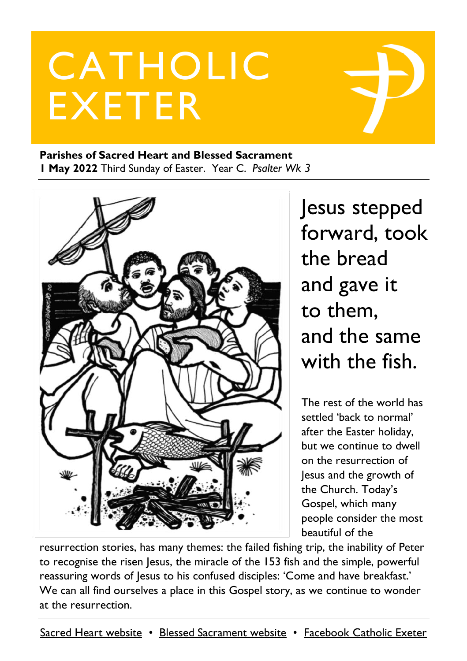# CATHOLIC EXETER

#### **Parishes of Sacred Heart and Blessed Sacrament 1 May 2022** Third Sunday of Easter. Year C. *Psalter Wk 3*



Jesus stepped forward, took the bread and gave it to them, and the same with the fish.

The rest of the world has settled 'back to normal' after the Easter holiday, but we continue to dwell on the resurrection of Jesus and the growth of the Church. Today's Gospel, which many people consider the most beautiful of the

resurrection stories, has many themes: the failed fishing trip, the inability of Peter to recognise the risen Jesus, the miracle of the 153 fish and the simple, powerful reassuring words of Jesus to his confused disciples: 'Come and have breakfast.' We can all find ourselves a place in this Gospel story, as we continue to wonder at the resurrection.

[Sacred Heart website](https://www.sacredheartexeter.org/) • [Blessed Sacrament website](https://www.blessedsacrament.org.uk/) • [Facebook Catholic Exeter](https://www.facebook.com/CatholicExeter)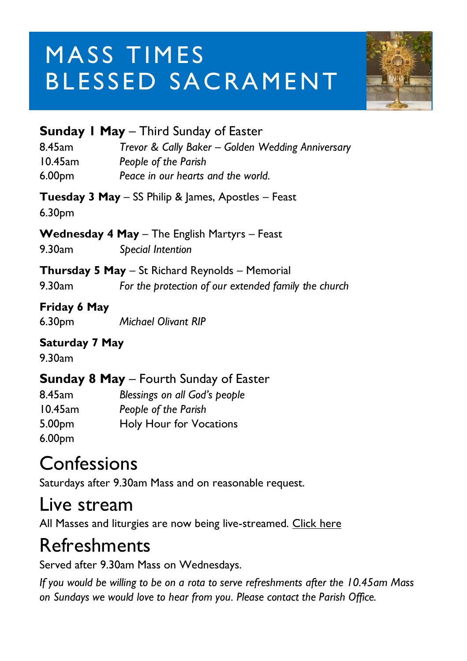# **MASS TIMES** BLESSED SACRAMENT



|                                    | <b>Sunday I May - Third Sunday of Easter</b>                                                                    |
|------------------------------------|-----------------------------------------------------------------------------------------------------------------|
| 8.45am<br>10.45am<br>6.00pm        | Trevor & Cally Baker - Golden Wedding Anniversary<br>People of the Parish<br>Peace in our hearts and the world. |
| 6.30 <sub>pm</sub>                 | Tuesday 3 May - SS Philip & James, Apostles - Feast                                                             |
| 9.30am                             | <b>Wednesday 4 May</b> - The English Martyrs - Feast<br><b>Special Intention</b>                                |
| 9.30am                             | Thursday 5 May - St Richard Reynolds - Memorial<br>For the protection of our extended family the church         |
| Friday 6 May<br>6.30 <sub>pm</sub> | <b>Michael Olivant RIP</b>                                                                                      |
| <b>Saturday 7 May</b><br>9.30am    |                                                                                                                 |
|                                    |                                                                                                                 |

#### **Sunday 8 May** – Fourth Sunday of Easter

| Blessings on all God's people |
|-------------------------------|
| People of the Parish          |
| Holy Hour for Vocations       |
|                               |
|                               |

### **Confessions**

Saturdays after 9.30am Mass and on reasonable request.

### Live stream

All Masses and liturgies are now being live-streamed. [Click here](https://www.youtube.com/c/BlessedSacramentExeter)

### Refreshments

Served after 9.30am Mass on Wednesdays.

*If you would be willing to be on a rota to serve refreshments after the 10.45am Mass on Sundays we would love to hear from you. Please contact the Parish Office.*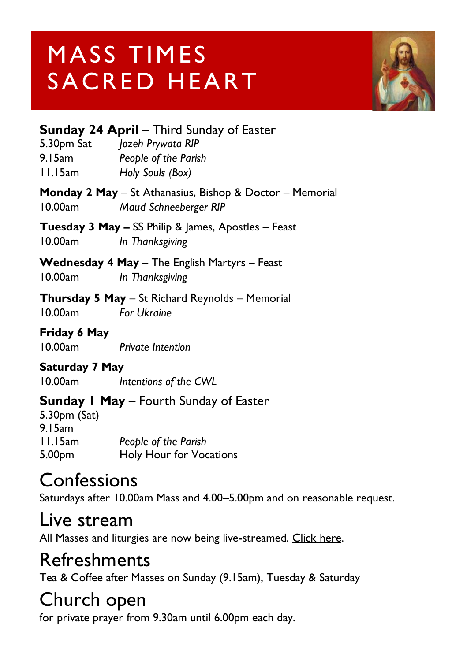# MASS TIMES SACRED HEART



#### **Sunday 24 April** – Third Sunday of Easter

5.30pm Sat *Jozeh Prywata RIP* 9.15am *People of the Parish*

11.15am *Holy Souls (Box)*

#### **Monday 2 May** – St Athanasius, Bishop & Doctor – Memorial 10.00am *Maud Schneeberger RIP*

**Tuesday 3 May –** SS Philip & James, Apostles – Feast 10.00am *In Thanksgiving*

**Wednesday 4 May** – The English Martyrs – Feast 10.00am *In Thanksgiving*

#### **Thursday 5 May** – St Richard Reynolds – Memorial 10.00am *For Ukraine*

#### **Friday 6 May**

10.00am *Private Intention*

#### **Saturday 7 May**

10.00am *Intentions of the CWL*

#### **Sunday 1 May** – Fourth Sunday of Easter

5.30pm (Sat) 9.15am 11.15am *People of the Parish* 5.00pm Holy Hour for Vocations

### **Confessions**

Saturdays after 10.00am Mass and 4.00–5.00pm and on reasonable request.

### Live stream

All Masses and liturgies are now being live-streamed. [Click here.](https://www.youtube.com/channel/UCqZLydKWQ6CqG2utRNBeKmA)

### Refreshments

Tea & Coffee after Masses on Sunday (9.15am), Tuesday & Saturday

### Church open

for private prayer from 9.30am until 6.00pm each day.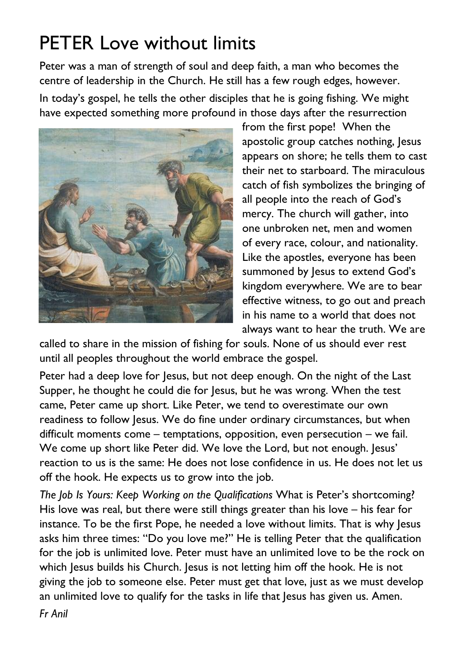### PETER Love without limits

Peter was a man of strength of soul and deep faith, a man who becomes the centre of leadership in the Church. He still has a few rough edges, however.

In today's gospel, he tells the other disciples that he is going fishing. We might have expected something more profound in those days after the resurrection



from the first pope! When the apostolic group catches nothing, Jesus appears on shore; he tells them to cast their net to starboard. The miraculous catch of fish symbolizes the bringing of all people into the reach of God's mercy. The church will gather, into one unbroken net, men and women of every race, colour, and nationality. Like the apostles, everyone has been summoned by Jesus to extend God's kingdom everywhere. We are to bear effective witness, to go out and preach in his name to a world that does not always want to hear the truth. We are

called to share in the mission of fishing for souls. None of us should ever rest until all peoples throughout the world embrace the gospel.

Peter had a deep love for Jesus, but not deep enough. On the night of the Last Supper, he thought he could die for Jesus, but he was wrong. When the test came, Peter came up short. Like Peter, we tend to overestimate our own readiness to follow Jesus. We do fine under ordinary circumstances, but when difficult moments come – temptations, opposition, even persecution – we fail. We come up short like Peter did. We love the Lord, but not enough, lesus' reaction to us is the same: He does not lose confidence in us. He does not let us off the hook. He expects us to grow into the job.

*The Job Is Yours: Keep Working on the Qualifications* What is Peter's shortcoming? His love was real, but there were still things greater than his love – his fear for instance. To be the first Pope, he needed a love without limits. That is why Jesus asks him three times: "Do you love me?" He is telling Peter that the qualification for the job is unlimited love. Peter must have an unlimited love to be the rock on which Jesus builds his Church. Jesus is not letting him off the hook. He is not giving the job to someone else. Peter must get that love, just as we must develop an unlimited love to qualify for the tasks in life that Jesus has given us. Amen.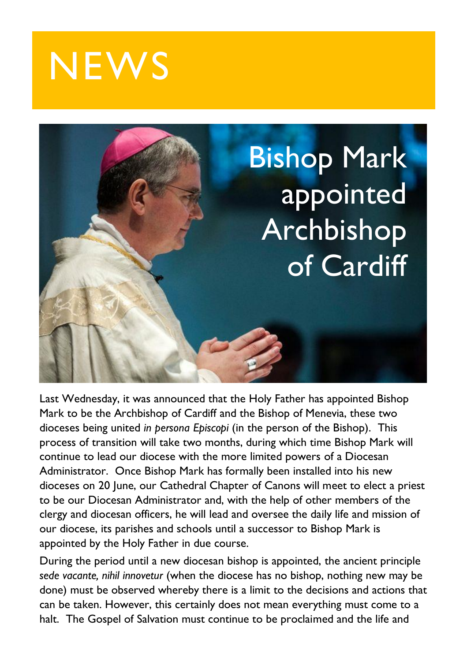



Last Wednesday, it was announced that the Holy Father has appointed Bishop Mark to be the Archbishop of Cardiff and the Bishop of Menevia, these two dioceses being united *in persona Episcopi* (in the person of the Bishop). This process of transition will take two months, during which time Bishop Mark will continue to lead our diocese with the more limited powers of a Diocesan Administrator. Once Bishop Mark has formally been installed into his new dioceses on 20 June, our Cathedral Chapter of Canons will meet to elect a priest to be our Diocesan Administrator and, with the help of other members of the clergy and diocesan officers, he will lead and oversee the daily life and mission of our diocese, its parishes and schools until a successor to Bishop Mark is appointed by the Holy Father in due course.

During the period until a new diocesan bishop is appointed, the ancient principle *sede vacante, nihil innovetur* (when the diocese has no bishop, nothing new may be done) must be observed whereby there is a limit to the decisions and actions that can be taken. However, this certainly does not mean everything must come to a halt. The Gospel of Salvation must continue to be proclaimed and the life and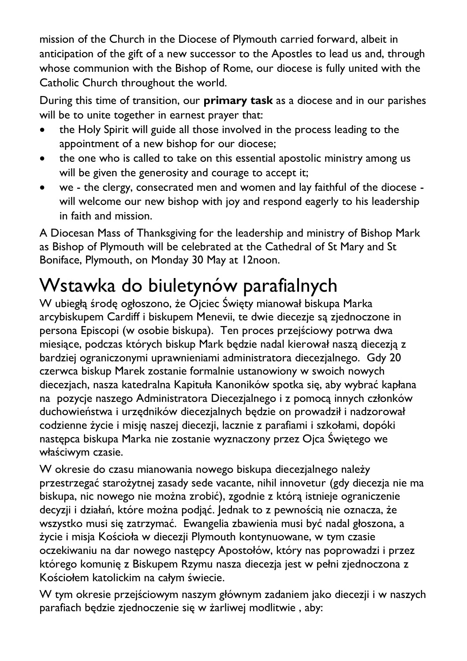mission of the Church in the Diocese of Plymouth carried forward, albeit in anticipation of the gift of a new successor to the Apostles to lead us and, through whose communion with the Bishop of Rome, our diocese is fully united with the Catholic Church throughout the world.

During this time of transition, our **primary task** as a diocese and in our parishes will be to unite together in earnest prayer that:

- the Holy Spirit will guide all those involved in the process leading to the appointment of a new bishop for our diocese;
- the one who is called to take on this essential apostolic ministry among us will be given the generosity and courage to accept it;
- we the clergy, consecrated men and women and lay faithful of the diocese will welcome our new bishop with joy and respond eagerly to his leadership in faith and mission.

A Diocesan Mass of Thanksgiving for the leadership and ministry of Bishop Mark as Bishop of Plymouth will be celebrated at the Cathedral of St Mary and St Boniface, Plymouth, on Monday 30 May at 12noon.

### Wstawka do biuletynów parafialnych

W ubiegłą środę ogłoszono, że Ojciec Święty mianował biskupa Marka arcybiskupem Cardiff i biskupem Menevii, te dwie diecezje są zjednoczone in persona Episcopi (w osobie biskupa). Ten proces przejściowy potrwa dwa miesiące, podczas których biskup Mark będzie nadal kierował naszą diecezją z bardziej ograniczonymi uprawnieniami administratora diecezjalnego. Gdy 20 czerwca biskup Marek zostanie formalnie ustanowiony w swoich nowych diecezjach, nasza katedralna Kapituła Kanoników spotka się, aby wybrać kapłana na pozycje naszego Administratora Diecezjalnego i z pomocą innych członków duchowieństwa i urzędników diecezjalnych będzie on prowadził i nadzorował codzienne życie i misję naszej diecezji, lacznie z parafiami i szkołami, dopóki następca biskupa Marka nie zostanie wyznaczony przez Ojca Świętego we właściwym czasie.

W okresie do czasu mianowania nowego biskupa diecezjalnego należy przestrzegać starożytnej zasady sede vacante, nihil innovetur (gdy diecezja nie ma biskupa, nic nowego nie można zrobić), zgodnie z którą istnieje ograniczenie decyzji i działań, które można podjąć. Jednak to z pewnością nie oznacza, że wszystko musi się zatrzymać. Ewangelia zbawienia musi być nadal głoszona, a życie i misja Kościoła w diecezji Plymouth kontynuowane, w tym czasie oczekiwaniu na dar nowego następcy Apostołów, który nas poprowadzi i przez którego komunię z Biskupem Rzymu nasza diecezja jest w pełni zjednoczona z Kościołem katolickim na całym świecie.

W tym okresie przejściowym naszym głównym zadaniem jako diecezji i w naszych parafiach będzie zjednoczenie się w żarliwej modlitwie , aby: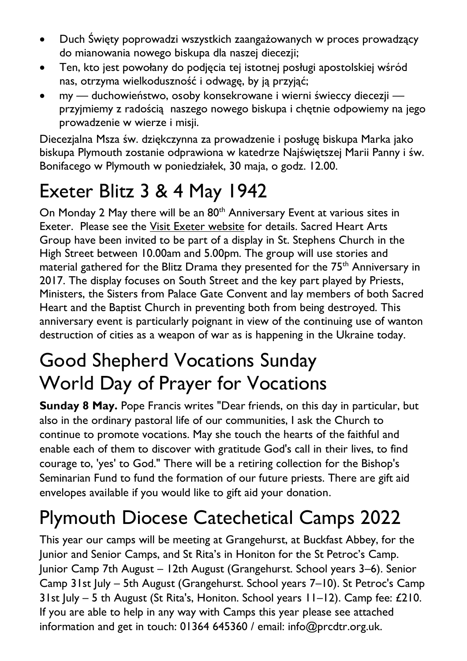- Duch Święty poprowadzi wszystkich zaangażowanych w proces prowadzący do mianowania nowego biskupa dla naszej diecezji;
- Ten, kto jest powołany do podjęcia tej istotnej posługi apostolskiej wśród nas, otrzyma wielkoduszność i odwagę, by ją przyjąć;
- my duchowieństwo, osoby konsekrowane i wierni świeccy diecezji przyjmiemy z radością naszego nowego biskupa i chętnie odpowiemy na jego prowadzenie w wierze i misji.

Diecezjalna Msza św. dziękczynna za prowadzenie i posługę biskupa Marka jako biskupa Plymouth zostanie odprawiona w katedrze Najświętszej Marii Panny i św. Bonifacego w Plymouth w poniedziałek, 30 maja, o godz. 12.00.

## Exeter Blitz 3 & 4 May 1942

On Monday 2 May there will be an 80<sup>th</sup> Anniversary Event at various sites in Exeter. Please see the Visit Exeter [website](https://www.visitexeter.com/whats-on/exeter-blitz-80th-anniversary-p3101583) for details. Sacred Heart Arts Group have been invited to be part of a display in St. Stephens Church in the High Street between 10.00am and 5.00pm. The group will use stories and material gathered for the Blitz Drama they presented for the 75<sup>th</sup> Anniversary in 2017. The display focuses on South Street and the key part played by Priests, Ministers, the Sisters from Palace Gate Convent and lay members of both Sacred Heart and the Baptist Church in preventing both from being destroyed. This anniversary event is particularly poignant in view of the continuing use of wanton destruction of cities as a weapon of war as is happening in the Ukraine today.

### Good Shepherd Vocations Sunday World Day of Prayer for Vocations

**Sunday 8 May.** Pope Francis writes "Dear friends, on this day in particular, but also in the ordinary pastoral life of our communities, I ask the Church to continue to promote vocations. May she touch the hearts of the faithful and enable each of them to discover with gratitude God's call in their lives, to find courage to, 'yes' to God." There will be a retiring collection for the Bishop's Seminarian Fund to fund the formation of our future priests. There are gift aid envelopes available if you would like to gift aid your donation.

### Plymouth Diocese Catechetical Camps 2022

This year our camps will be meeting at Grangehurst, at Buckfast Abbey, for the Junior and Senior Camps, and St Rita's in Honiton for the St Petroc's Camp. Junior Camp 7th August – 12th August (Grangehurst. School years 3–6). Senior Camp 31st July – 5th August (Grangehurst. School years 7–10). St Petroc's Camp 31st July – 5 th August (St Rita's, Honiton. School years 11–12). Camp fee: £210. If you are able to help in any way with Camps this year please see attached information and get in touch: 01364 645360 / email: info@prcdtr.org.uk.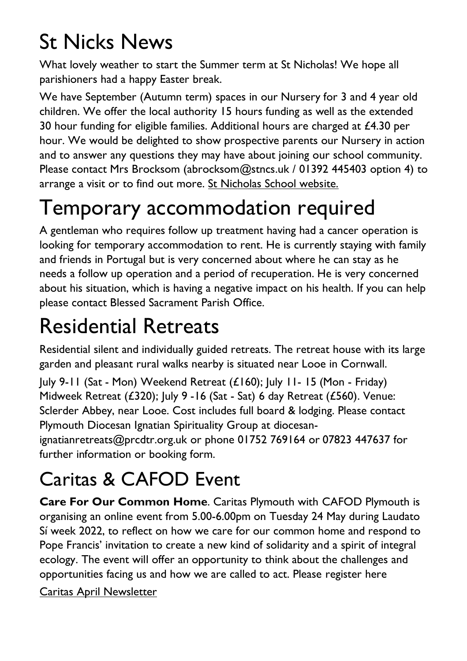# St Nicks News

What lovely weather to start the Summer term at St Nicholas! We hope all parishioners had a happy Easter break.

We have September (Autumn term) spaces in our Nursery for 3 and 4 year old children. We offer the local authority 15 hours funding as well as the extended 30 hour funding for eligible families. Additional hours are charged at  $£4.30$  per hour. We would be delighted to show prospective parents our Nursery in action and to answer any questions they may have about joining our school community. Please contact Mrs Brocksom [\(abrocksom@stncs.uk](mailto:abrocksom@stncs.uk) / 01392 445403 option 4) to arrange a visit or to find out more. St [Nicholas](http://www.st-nicholas-exeter.devon.sch.uk/website) School website.

# Temporary accommodation required

A gentleman who requires follow up treatment having had a cancer operation is looking for temporary accommodation to rent. He is currently staying with family and friends in Portugal but is very concerned about where he can stay as he needs a follow up operation and a period of recuperation. He is very concerned about his situation, which is having a negative impact on his health. If you can help please contact Blessed Sacrament Parish Office.

# Residential Retreats

Residential silent and individually guided retreats. The retreat house with its large garden and pleasant rural walks nearby is situated near Looe in Cornwall.

July 9-11 (Sat - Mon) Weekend Retreat (£160); July 11- 15 (Mon - Friday) Midweek Retreat (£320); July 9 -16 (Sat - Sat) 6 day Retreat (£560). Venue: Sclerder Abbey, near Looe. Cost includes full board & lodging. Please contact Plymouth Diocesan Ignatian Spirituality Group at diocesan-

ignatianretreats@prcdtr.org.uk or phone 01752 769164 or 07823 447637 for further information or booking form.

# Caritas & CAFOD Event

**Care For Our Common Home**. Caritas Plymouth with CAFOD Plymouth is organising an online event from 5.00-6.00pm on Tuesday 24 May during Laudato Sí week 2022, to reflect on how we care for our common home and respond to Pope Francis' invitation to create a new kind of solidarity and a spirit of integral ecology. The event will offer an opportunity to think about the challenges and opportunities facing us and how we are called to act. Please [register](https://forms.office.com/r/L7nNXjjb57) here

Caritas April [Newsletter](https://email.workwithgusto.co.uk/t/t-92E98FEB5804515E2540EF23F30FEDED)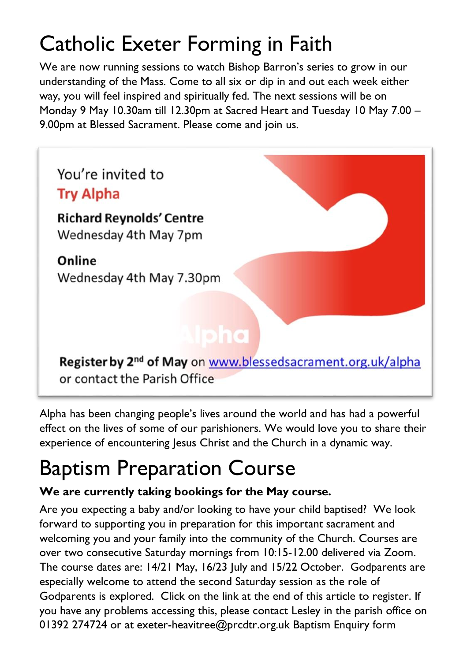# Catholic Exeter Forming in Faith

We are now running sessions to watch Bishop Barron's series to grow in our understanding of the Mass. Come to all six or dip in and out each week either way, you will feel inspired and spiritually fed. The next sessions will be on Monday 9 May 10.30am till 12.30pm at Sacred Heart and Tuesday 10 May 7.00 – 9.00pm at Blessed Sacrament. Please come and join us.



Alpha has been changing people's lives around the world and has had a powerful effect on the lives of some of our parishioners. We would love you to share their experience of encountering Jesus Christ and the Church in a dynamic way.

# Baptism Preparation Course

#### **We are currently taking bookings for the May course.**

Are you expecting a baby and/or looking to have your child baptised? We look forward to supporting you in preparation for this important sacrament and welcoming you and your family into the community of the Church. Courses are over two consecutive Saturday mornings from 10:15-12.00 delivered via Zoom. The course dates are: 14/21 May, 16/23 July and 15/22 October. Godparents are especially welcome to attend the second Saturday session as the role of Godparents is explored. Click on the link at the end of this article to register. If you have any problems accessing this, please contact Lesley in the parish office on 01392 274724 or at [exeter-heavitree@prcdtr.org.uk](mailto:Exeter-heavitree@prcdtr.org.uk) [Baptism](https://docs.google.com/forms/d/1bgbx-gDVZaqwyjbRS6c6lJrCh2Jt-5ZQYy-1tPBwM4g/edit) Enquiry form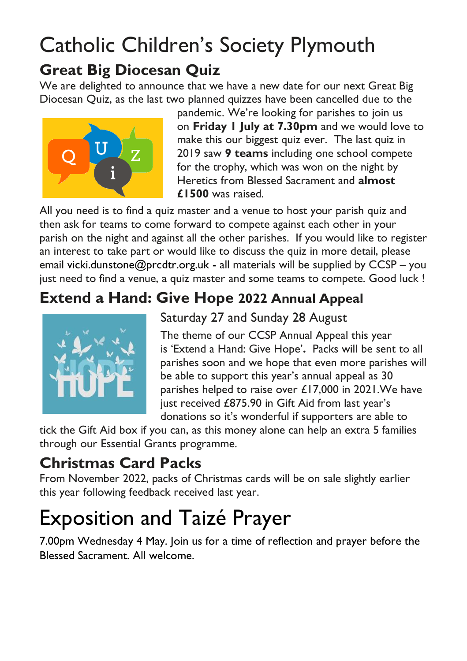### Catholic Children's Society Plymouth **Great Big Diocesan Quiz**

We are delighted to announce that we have a new date for our next Great Big Diocesan Quiz, as the last two planned quizzes have been cancelled due to the



pandemic. We're looking for parishes to join us on **Friday 1 July at 7.30pm** and we would love to make this our biggest quiz ever. The last quiz in 2019 saw **9 teams** including one school compete for the trophy, which was won on the night by Heretics from Blessed Sacrament and **almost £1500** was raised.

All you need is to find a quiz master and a venue to host your parish quiz and then ask for teams to come forward to compete against each other in your parish on the night and against all the other parishes. If you would like to register an interest to take part or would like to discuss the quiz in more detail, please email [vicki.dunstone@prcdtr.org.uk](mailto:vicki.dunstone@prcdtr.org.uk) - all materials will be supplied by CCSP – you just need to find a venue, a quiz master and some teams to compete. Good luck !

#### **Extend a Hand: Give Hope 2022 Annual Appeal**



Saturday 27 and Sunday 28 August

The theme of our CCSP Annual Appeal this year is 'Extend a Hand: Give Hope'**.** Packs will be sent to all parishes soon and we hope that even more parishes will be able to support this year's annual appeal as 30 parishes helped to raise over £17,000 in 2021.We have just received £875.90 in Gift Aid from last year's donations so it's wonderful if supporters are able to

tick the Gift Aid box if you can, as this money alone can help an extra 5 families through our Essential Grants programme.

#### **Christmas Card Packs**

From November 2022, packs of Christmas cards will be on sale slightly earlier this year following feedback received last year.

# Exposition and Taizé Prayer

7.00pm Wednesday 4 May. Join us for a time of reflection and prayer before the Blessed Sacrament. All welcome.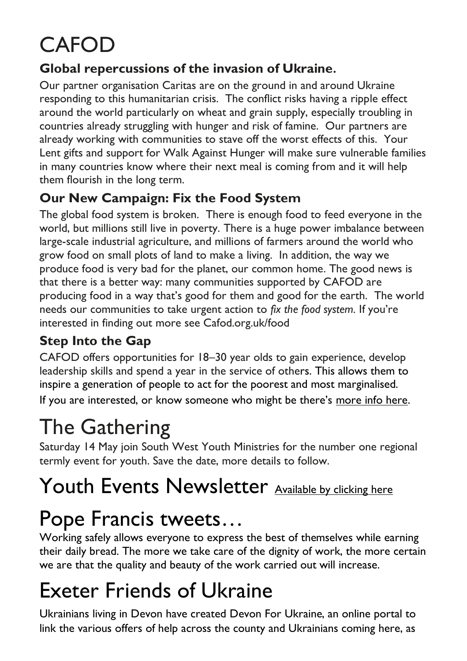# CAFOD

#### **Global repercussions of the invasion of Ukraine.**

Our partner organisation Caritas are on the ground in and around Ukraine responding to this humanitarian crisis. The conflict risks having a ripple effect around the world particularly on wheat and grain supply, especially troubling in countries already struggling with hunger and risk of famine. Our partners are already working with communities to stave off the worst effects of this. Your Lent gifts and support for Walk Against Hunger will make sure vulnerable families in many countries know where their next meal is coming from and it will help them flourish in the long term.

#### **Our New Campaign: Fix the Food System**

The global food system is broken. There is enough food to feed everyone in the world, but millions still live in poverty. There is a huge power imbalance between large-scale industrial agriculture, and millions of farmers around the world who grow food on small plots of land to make a living. In addition, the way we produce food is very bad for the planet, our common home. The good news is that there is a better way: many communities supported by CAFOD are producing food in a way that's good for them and good for the earth. The world needs our communities to take urgent action to *fix the food system.* If you're interested in finding out more see Cafod.org.uk/food

#### **Step Into the Gap**

CAFOD offers opportunities for 18–30 year olds to gain experience, develop leadership skills and spend a year in the service of others. This allows them to inspire a generation of people to act for the poorest and most marginalised. If you are interested, or know someone who might be there's [more info here.](https://cafod.org.uk/Education/For-young-people/CAFOD-Gap-year)

# The Gathering

Saturday 14 May join South West Youth Ministries for the number one regional termly event for youth. Save the date, more details to follow.

# Youth Events Newsletter [Available by clicking here](https://email.workwithgusto.co.uk/t/t-A6F98318701C324C2540EF23F30FEDED)

## Pope Francis tweets…

Working safely allows everyone to express the best of themselves while earning their daily bread. The more we take care of the dignity of work, the more certain we are that the quality and beauty of the work carried out will increase.

# Exeter Friends of Ukraine

Ukrainians living in Devon have created Devon For Ukraine, an online portal to link the various offers of help across the county and Ukrainians coming here, as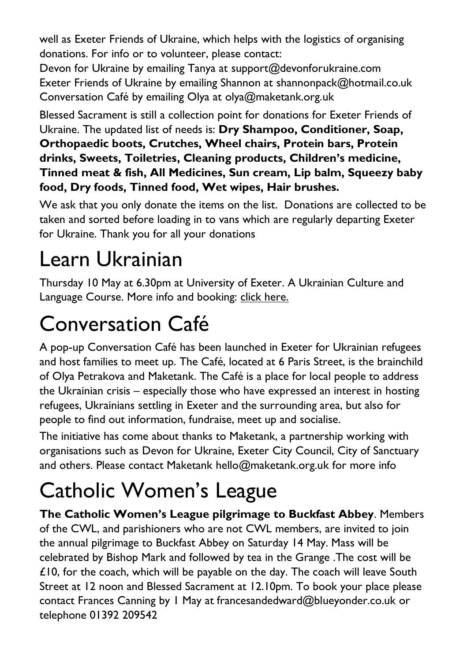well as Exeter Friends of Ukraine, which helps with the logistics of organising donations. For info or to volunteer, please contact:

Devon for Ukraine by emailing Tanya at [support@devonforukraine.com](mailto:support@devonforukraine.com) Exeter Friends of Ukraine by emailing Shannon at [shannonpack@hotmail.co.uk](mailto:shannonpack@hotmail.co.uk) Conversation Café by emailing Olya at [olya@maketank.org.uk](mailto:olya@maketank.org.uk)

Blessed Sacrament is still a collection point for donations for Exeter Friends of Ukraine. The updated list of needs is: **Dry Shampoo, Conditioner, Soap, Orthopaedic boots, Crutches, Wheel chairs, Protein bars, Protein drinks, Sweets, Toiletries, Cleaning products, Children's medicine, Tinned meat & fish, All Medicines, Sun cream, Lip balm, Squeezy baby food, Dry foods, Tinned food, Wet wipes, Hair brushes.**

We ask that you only donate the items on the list. Donations are collected to be taken and sorted before loading in to vans which are regularly departing Exeter for Ukraine. Thank you for all your donations

# Learn Ukrainian

Thursday 10 May at 6.30pm at University of Exeter. A Ukrainian Culture and Language Course. More info and booking: [click here.](https://humanities.exeter.ac.uk/flc/evening/languages/)

# Conversation Café

A pop-up Conversation Café has been launched in Exeter for Ukrainian refugees and host families to meet up. The Café, located at 6 Paris Street, is the brainchild of Olya Petrakova and Maketank. The Café is a place for local people to address the Ukrainian crisis – especially those who have expressed an interest in hosting refugees, Ukrainians settling in Exeter and the surrounding area, but also for people to find out information, fundraise, meet up and socialise.

The initiative has come about thanks to Maketank, a partnership working with organisations such as Devon for Ukraine, Exeter City Council, City of Sanctuary and others. Please contact Maketank [hello@maketank.org.uk](mailto:hello@maketank.org.uk) for more info

# Catholic Women's League

**The Catholic Women's League pilgrimage to Buckfast Abbey**. Members of the CWL, and parishioners who are not CWL members, are invited to join the annual pilgrimage to Buckfast Abbey on Saturday 14 May. Mass will be celebrated by Bishop Mark and followed by tea in the Grange .The cost will be £10, for the coach, which will be payable on the day. The coach will leave South Street at 12 noon and Blessed Sacrament at 12.10pm. To book your place please contact Frances Canning by 1 May at [francesandedward@blueyonder.co.uk](mailto:francesandedward@blueyonder.co.uk) or telephone 01392 209542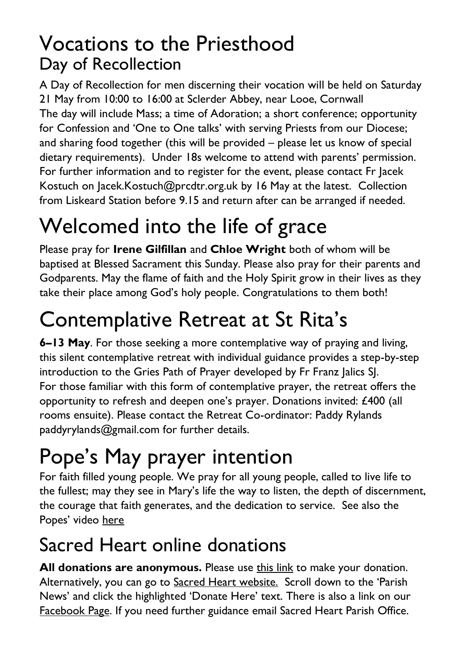### Vocations to the Priesthood Day of Recollection

A Day of Recollection for men discerning their vocation will be held on Saturday 21 May from 10:00 to 16:00 at Sclerder Abbey, near Looe, Cornwall The day will include Mass; a time of Adoration; a short conference; opportunity for Confession and 'One to One talks' with serving Priests from our Diocese; and sharing food together (this will be provided – please let us know of special dietary requirements). Under 18s welcome to attend with parents' permission. For further information and to register for the event, please contact Fr Jacek Kostuch on [Jacek.Kostuch@prcdtr.org.uk](mailto:Jacek.Kostuch@prcdtr.org.uk) by 16 May at the latest. Collection from Liskeard Station before 9.15 and return after can be arranged if needed.

# Welcomed into the life of grace

Please pray for **Irene Gilfillan** and **Chloe Wright** both of whom will be baptised at Blessed Sacrament this Sunday. Please also pray for their parents and Godparents. May the flame of faith and the Holy Spirit grow in their lives as they take their place among God's holy people. Congratulations to them both!

# Contemplative Retreat at St Rita's

**6–13 May**. For those seeking a more contemplative way of praying and living, this silent contemplative retreat with individual guidance provides a step-by-step introduction to the Gries Path of Prayer developed by Fr Franz Jalics SJ. For those familiar with this form of contemplative prayer, the retreat offers the opportunity to refresh and deepen one's prayer. Donations invited: £400 (all rooms ensuite). Please contact the Retreat Co-ordinator: Paddy Rylands paddyrylands@gmail.com for further details.

# Pope's May prayer intention

For faith filled young people. We pray for all young people, called to live life to the fullest; may they see in Mary's life the way to listen, the depth of discernment, the courage that faith generates, and the dedication to service. See also the Popes' video [here](https://thepopevideo.org/)

### Sacred Heart online donations

**All donations are anonymous.** Please use [this](https://givealittle.co/campaigns/f94e8739-d2fd-4ce6-9fca60470ef39403) link to make your donation. Alternatively, you can go to Sacred Heart [website.](https://www.sacredheartexeter.org/) Scroll down to the 'Parish News' and click the highlighted 'Donate Here' text. There is also a link on our [Facebook](https://www.facebook.com/Sacred-HeartCatholic-Church-Exeter-422138011310698) Page. If you need further guidance email Sacred Heart Parish Office.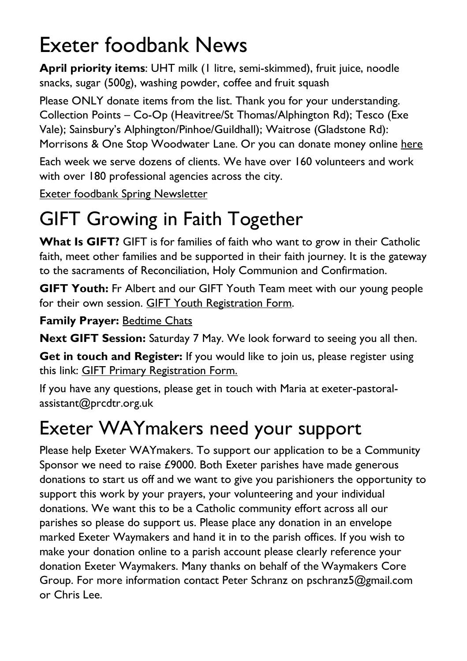# Exeter foodbank News

**April priority items**: UHT milk (1 litre, semi-skimmed), fruit juice, noodle snacks, sugar (500g), washing powder, coffee and fruit squash

Please ONLY donate items from the list. Thank you for your understanding. Collection Points – Co-Op (Heavitree/St Thomas/Alphington Rd); Tesco (Exe Vale); Sainsbury's Alphington/Pinhoe/Guildhall); Waitrose (Gladstone Rd): Morrisons & One Stop Woodwater Lane. Or you can donate money online [here](https://uk.virginmoneygiving.com/charity-web/charity/finalCharityHomepage.action?charityId=1016975&_ga=2.106832579.1384579075.1617955505-1667813714.1617955505)

Each week we serve dozens of clients. We have over 160 volunteers and work with over 180 professional agencies across the city.

Exeter foodbank Spring [Newsletter](https://exeter.foodbank.org.uk/wp-content/uploads/sites/368/2022/04/EFBNewsletterSpring2022V5.pdf)

## GIFT Growing in Faith Together

**What Is GIFT?** GIFT is for families of faith who want to grow in their Catholic faith, meet other families and be supported in their faith journey. It is the gateway to the sacraments of Reconciliation, Holy Communion and Confirmation.

**GIFT Youth:** Fr Albert and our GIFT Youth Team meet with our young people for their own session. GIFT Youth [Registration](https://docs.google.com/forms/d/1js2AU2QewgH1ui7kjv2-mKDJcyulRGa34G-Eo3ao8FI/edit) Form.

#### **Family Prayer:** [Bedtime](https://www.blessedsacrament.org.uk/parish-life/gift/) Chats

**Next GIFT Session:** Saturday 7 May. We look forward to seeing you all then.

**Get in touch and Register:** If you would like to join us, please register using this link: GIFT Primary [Registration](https://docs.google.com/forms/d/1Qs8jP69t9hS5V3ukZvm34yn8pDZdS0iDYrhXY_j8pMQ/edit) Form.

If you have any questions, please get in touch with Maria at [exeter-pastoral](mailto:exeter-pastoral-assistant@prcdtr.org.uk)[assistant@prcdtr.org.uk](mailto:exeter-pastoral-assistant@prcdtr.org.uk)

### Exeter WAYmakers need your support

Please help Exeter WAYmakers. To support our application to be a Community Sponsor we need to raise £9000. Both Exeter parishes have made generous donations to start us off and we want to give you parishioners the opportunity to support this work by your prayers, your volunteering and your individual donations. We want this to be a Catholic community effort across all our parishes so please do support us. Please place any donation in an envelope marked Exeter Waymakers and hand it in to the parish offices. If you wish to make your donation online to a parish account please clearly reference your donation Exeter Waymakers. Many thanks on behalf of the Waymakers Core Group. For more information contact Peter Schranz on [pschranz5@gmail.com](mailto:pschranz5@gmail.com) or Chris Lee.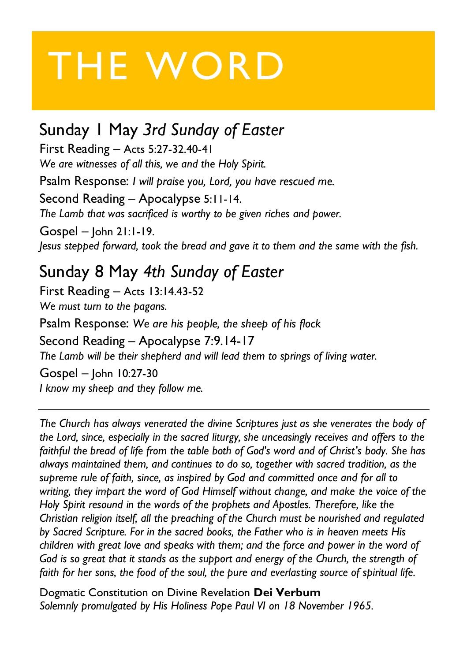# THE WORD

### Sunday 1 May *3rd Sunday of Easter*

First Reading – Acts 5:27-32.40-41 *We are witnesses of all this, we and the Holy Spirit.*

Psalm Response: *I will praise you, Lord, you have rescued me.*

Second Reading – Apocalypse 5:11-14. *The Lamb that was sacrificed is worthy to be given riches and power.*

Gospel – John 21:1-19. *Jesus stepped forward, took the bread and gave it to them and the same with the fish.*

### Sunday 8 May *4th Sunday of Easter*

First Reading – Acts 13:14.43-52 *We must turn to the pagans.*

Psalm Response: *We are his people, the sheep of his flock*

#### Second Reading – Apocalypse 7:9.14-17

*The Lamb will be their shepherd and will lead them to springs of living water.*

Gospel – John 10:27-30 *I know my sheep and they follow me.*

*The Church has always venerated the divine Scriptures just as she venerates the body of the Lord, since, especially in the sacred liturgy, she unceasingly receives and offers to the faithful the bread of life from the table both of God's word and of Christ's body. She has always maintained them, and continues to do so, together with sacred tradition, as the supreme rule of faith, since, as inspired by God and committed once and for all to writing, they impart the word of God Himself without change, and make the voice of the Holy Spirit resound in the words of the prophets and Apostles. Therefore, like the Christian religion itself, all the preaching of the Church must be nourished and regulated by Sacred Scripture. For in the sacred books, the Father who is in heaven meets His children with great love and speaks with them; and the force and power in the word of God is so great that it stands as the support and energy of the Church, the strength of faith for her sons, the food of the soul, the pure and everlasting source of spiritual life.* 

Dogmatic Constitution on Divine Revelation **Dei Verbum** *Solemnly promulgated by His Holiness Pope Paul VI on 18 November 1965.*